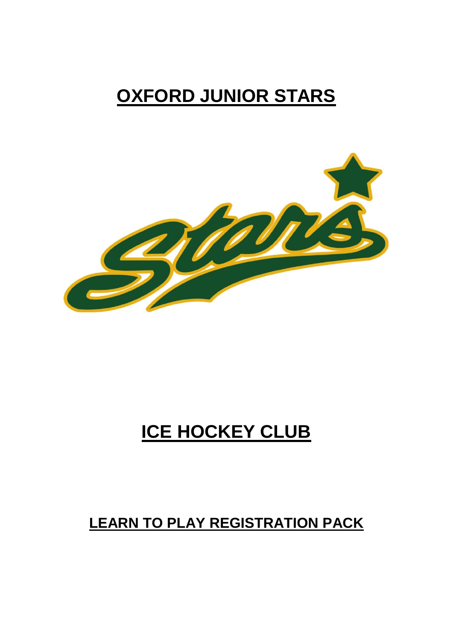## **OXFORD JUNIOR STARS**



# **ICE HOCKEY CLUB**

### **LEARN TO PLAY REGISTRATION PACK**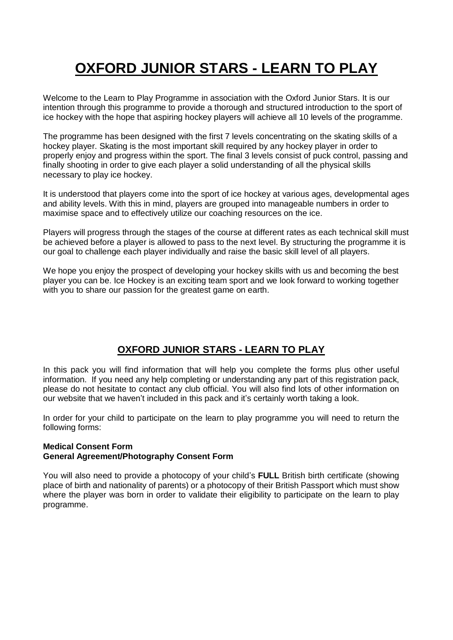## **OXFORD JUNIOR STARS - LEARN TO PLAY**

Welcome to the Learn to Play Programme in association with the Oxford Junior Stars. It is our intention through this programme to provide a thorough and structured introduction to the sport of ice hockey with the hope that aspiring hockey players will achieve all 10 levels of the programme.

The programme has been designed with the first 7 levels concentrating on the skating skills of a hockey player. Skating is the most important skill required by any hockey player in order to properly enjoy and progress within the sport. The final 3 levels consist of puck control, passing and finally shooting in order to give each player a solid understanding of all the physical skills necessary to play ice hockey.

It is understood that players come into the sport of ice hockey at various ages, developmental ages and ability levels. With this in mind, players are grouped into manageable numbers in order to maximise space and to effectively utilize our coaching resources on the ice.

Players will progress through the stages of the course at different rates as each technical skill must be achieved before a player is allowed to pass to the next level. By structuring the programme it is our goal to challenge each player individually and raise the basic skill level of all players.

We hope you enjoy the prospect of developing your hockey skills with us and becoming the best player you can be. Ice Hockey is an exciting team sport and we look forward to working together with you to share our passion for the greatest game on earth.

### **OXFORD JUNIOR STARS - LEARN TO PLAY**

In this pack you will find information that will help you complete the forms plus other useful information. If you need any help completing or understanding any part of this registration pack, please do not hesitate to contact any club official. You will also find lots of other information on our website that we haven't included in this pack and it's certainly worth taking a look.

In order for your child to participate on the learn to play programme you will need to return the following forms:

#### **Medical Consent Form General Agreement/Photography Consent Form**

You will also need to provide a photocopy of your child's **FULL** British birth certificate (showing place of birth and nationality of parents) or a photocopy of their British Passport which must show where the player was born in order to validate their eligibility to participate on the learn to play programme.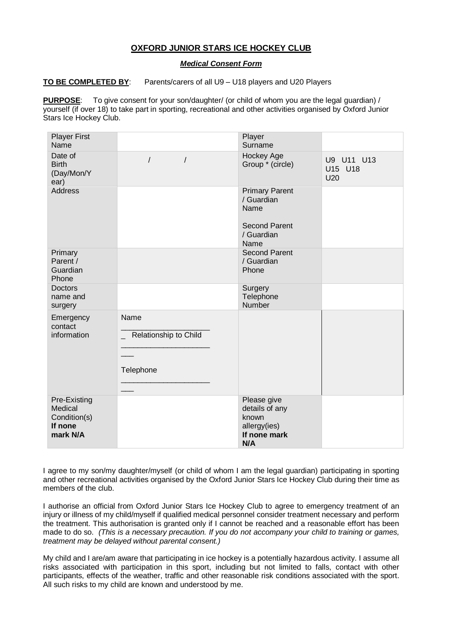#### **OXFORD JUNIOR STARS ICE HOCKEY CLUB**

#### *Medical Consent Form*

#### **TO BE COMPLETED BY**: Parents/carers of all U9 – U18 players and U20 Players

**PURPOSE**: To give consent for your son/daughter/ (or child of whom you are the legal guardian) / yourself (if over 18) to take part in sporting, recreational and other activities organised by Oxford Junior Stars Ice Hockey Club.

| <b>Player First</b><br>Name                                    |                                            | Player<br>Surname                                                                         |                              |
|----------------------------------------------------------------|--------------------------------------------|-------------------------------------------------------------------------------------------|------------------------------|
| Date of<br><b>Birth</b><br>(Day/Mon/Y<br>ear)                  | $\overline{1}$<br>$\sqrt{ }$               | Hockey Age<br>Group * (circle)                                                            | U9 U11 U13<br>U15 U18<br>U20 |
| <b>Address</b>                                                 |                                            | <b>Primary Parent</b><br>/ Guardian<br>Name<br><b>Second Parent</b><br>/ Guardian<br>Name |                              |
| Primary<br>Parent /<br>Guardian<br>Phone                       |                                            | <b>Second Parent</b><br>/ Guardian<br>Phone                                               |                              |
| Doctors<br>name and<br>surgery                                 |                                            | Surgery<br>Telephone<br>Number                                                            |                              |
| Emergency<br>contact<br>information                            | Name<br>Relationship to Child<br>Telephone |                                                                                           |                              |
| Pre-Existing<br>Medical<br>Condition(s)<br>If none<br>mark N/A |                                            | Please give<br>details of any<br>known<br>allergy(ies)<br>If none mark<br>N/A             |                              |

I agree to my son/my daughter/myself (or child of whom I am the legal guardian) participating in sporting and other recreational activities organised by the Oxford Junior Stars Ice Hockey Club during their time as members of the club.

I authorise an official from Oxford Junior Stars Ice Hockey Club to agree to emergency treatment of an injury or illness of my child/myself if qualified medical personnel consider treatment necessary and perform the treatment. This authorisation is granted only if I cannot be reached and a reasonable effort has been made to do so. *(This is a necessary precaution. If you do not accompany your child to training or games, treatment may be delayed without parental consent.)*

My child and I are/am aware that participating in ice hockey is a potentially hazardous activity. I assume all risks associated with participation in this sport, including but not limited to falls, contact with other participants, effects of the weather, traffic and other reasonable risk conditions associated with the sport. All such risks to my child are known and understood by me.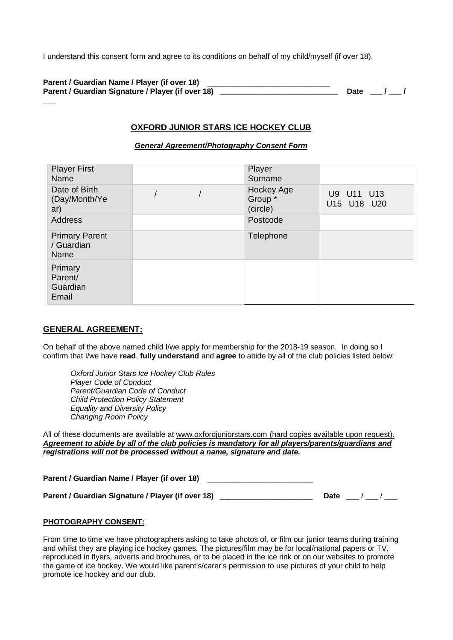I understand this consent form and agree to its conditions on behalf of my child/myself (if over 18).

| Parent / Guardian Name / Player (if over 18)      |  |          |
|---------------------------------------------------|--|----------|
| Parent / Guardian Signature / Player (if over 18) |  | Date / / |
|                                                   |  |          |

#### **OXFORD JUNIOR STARS ICE HOCKEY CLUB**

#### *General Agreement/Photography Consent Form*

| <b>Player First</b>                         |  | Player                            |                           |
|---------------------------------------------|--|-----------------------------------|---------------------------|
| Name                                        |  | Surname                           |                           |
| Date of Birth<br>(Day/Month/Ye<br>ar)       |  | Hockey Age<br>Group *<br>(circle) | U9 U11 U13<br>U15 U18 U20 |
| <b>Address</b>                              |  | Postcode                          |                           |
| <b>Primary Parent</b><br>/ Guardian<br>Name |  | Telephone                         |                           |
| Primary<br>Parent/<br>Guardian<br>Email     |  |                                   |                           |

#### **GENERAL AGREEMENT:**

On behalf of the above named child I/we apply for membership for the 2018-19 season. In doing so I confirm that I/we have **read**, **fully understand** and **agree** to abide by all of the club policies listed below:

*Oxford Junior Stars Ice Hockey Club Rules Player Code of Conduct Parent/Guardian Code of Conduct Child Protection Policy Statement Equality and Diversity Policy Changing Room Policy*

All of these documents are available at [www.oxfordjuniorstars.com](http://www.oxfordjuniorstars.com/) (hard copies available upon request). *Agreement to abide by all of the club policies is mandatory for all players/parents/guardians and registrations will not be processed without a name, signature and date.*

| Parent / Guardian Name / Player (if over 18) |  |
|----------------------------------------------|--|
|----------------------------------------------|--|

**Parent / Guardian Signature / Player (if over 18)** \_\_\_\_\_\_\_\_\_\_\_\_\_\_\_\_\_\_\_\_\_\_ **Date** \_\_\_ / \_\_\_ / \_\_\_

#### **PHOTOGRAPHY CONSENT:**

From time to time we have photographers asking to take photos of, or film our junior teams during training and whilst they are playing ice hockey games. The pictures/film may be for local/national papers or TV, reproduced in flyers, adverts and brochures, or to be placed in the ice rink or on our websites to promote the game of ice hockey. We would like parent's/carer's permission to use pictures of your child to help promote ice hockey and our club.